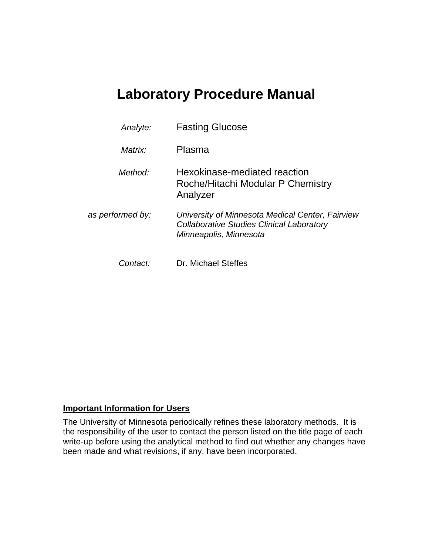# **Laboratory Procedure Manual**

| Analyte:         |          | <b>Fasting Glucose</b>                                                                                                         |  |  |  |
|------------------|----------|--------------------------------------------------------------------------------------------------------------------------------|--|--|--|
|                  | Matrix:  | Plasma                                                                                                                         |  |  |  |
|                  | Method:  | Hexokinase-mediated reaction<br>Roche/Hitachi Modular P Chemistry<br>Analyzer                                                  |  |  |  |
| as performed by: |          | University of Minnesota Medical Center, Fairview<br><b>Collaborative Studies Clinical Laboratory</b><br>Minneapolis, Minnesota |  |  |  |
|                  | Contact: | Dr. Michael Steffes                                                                                                            |  |  |  |

## **Important Information for Users**

The University of Minnesota periodically refines these laboratory methods. It is the responsibility of the user to contact the person listed on the title page of each write-up before using the analytical method to find out whether any changes have been made and what revisions, if any, have been incorporated.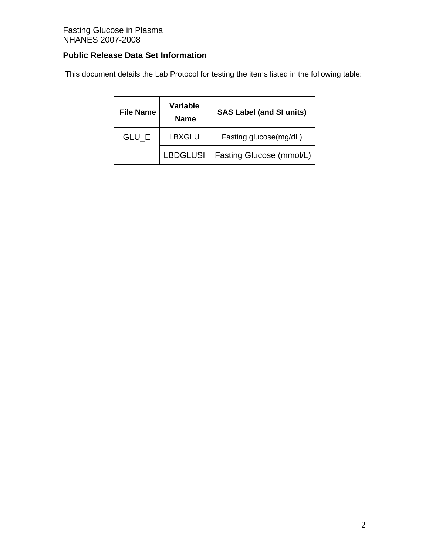## **Public Release Data Set Information**

This document details the Lab Protocol for testing the items listed in the following table:

| <b>File Name</b> | Variable<br><b>Name</b> | <b>SAS Label (and SI units)</b> |  |  |
|------------------|-------------------------|---------------------------------|--|--|
| GLU E            | LBXGLU                  | Fasting glucose(mg/dL)          |  |  |
|                  | <b>LBDGLUSI</b>         | Fasting Glucose (mmol/L)        |  |  |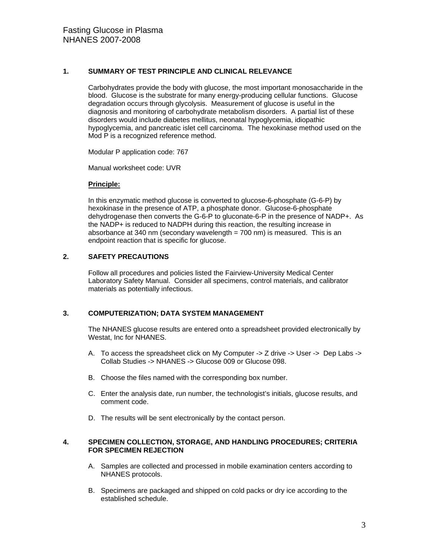#### **1. SUMMARY OF TEST PRINCIPLE AND CLINICAL RELEVANCE**

Carbohydrates provide the body with glucose, the most important monosaccharide in the blood. Glucose is the substrate for many energy-producing cellular functions. Glucose degradation occurs through glycolysis. Measurement of glucose is useful in the diagnosis and monitoring of carbohydrate metabolism disorders. A partial list of these disorders would include diabetes mellitus, neonatal hypoglycemia, idiopathic hypoglycemia, and pancreatic islet cell carcinoma. The hexokinase method used on the Mod P is a recognized reference method.

Modular P application code: 767

Manual worksheet code: UVR

#### **Principle:**

In this enzymatic method glucose is converted to glucose-6-phosphate (G-6-P) by hexokinase in the presence of ATP, a phosphate donor. Glucose-6-phosphate dehydrogenase then converts the G-6-P to gluconate-6-P in the presence of NADP+. As the NADP+ is reduced to NADPH during this reaction, the resulting increase in absorbance at 340 nm (secondary wavelength = 700 nm) is measured. This is an endpoint reaction that is specific for glucose.

#### **2. SAFETY PRECAUTIONS**

Follow all procedures and policies listed the Fairview-University Medical Center Laboratory Safety Manual. Consider all specimens, control materials, and calibrator materials as potentially infectious.

#### **3. COMPUTERIZATION; DATA SYSTEM MANAGEMENT**

The NHANES glucose results are entered onto a spreadsheet provided electronically by Westat, Inc for NHANES.

- A. To access the spreadsheet click on My Computer -> Z drive -> User -> Dep Labs -> Collab Studies -> NHANES -> Glucose 009 or Glucose 098.
- B. Choose the files named with the corresponding box number.
- C. Enter the analysis date, run number, the technologist's initials, glucose results, and comment code.
- D. The results will be sent electronically by the contact person.

#### **4. SPECIMEN COLLECTION, STORAGE, AND HANDLING PROCEDURES; CRITERIA FOR SPECIMEN REJECTION**

- A. Samples are collected and processed in mobile examination centers according to NHANES protocols.
- B. Specimens are packaged and shipped on cold packs or dry ice according to the established schedule.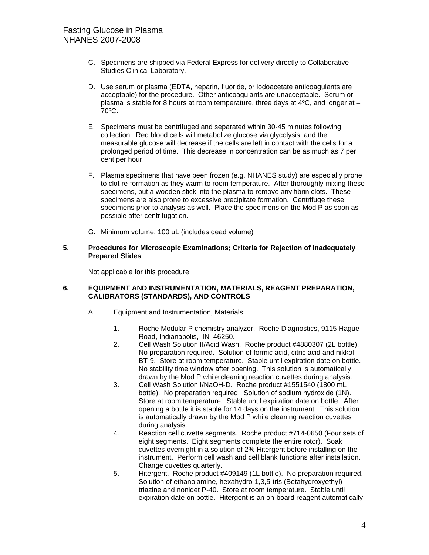- C. Specimens are shipped via Federal Express for delivery directly to Collaborative Studies Clinical Laboratory.
- D. Use serum or plasma (EDTA, heparin, fluoride, or iodoacetate anticoagulants are acceptable) for the procedure. Other anticoagulants are unacceptable. Serum or plasma is stable for 8 hours at room temperature, three days at 4ºC, and longer at – 70ºC.
- E. Specimens must be centrifuged and separated within 30-45 minutes following collection. Red blood cells will metabolize glucose via glycolysis, and the measurable glucose will decrease if the cells are left in contact with the cells for a prolonged period of time. This decrease in concentration can be as much as 7 per cent per hour.
- F. Plasma specimens that have been frozen (e.g. NHANES study) are especially prone to clot re-formation as they warm to room temperature. After thoroughly mixing these specimens, put a wooden stick into the plasma to remove any fibrin clots. These specimens are also prone to excessive precipitate formation. Centrifuge these specimens prior to analysis as well. Place the specimens on the Mod P as soon as possible after centrifugation.
- G. Minimum volume: 100 uL (includes dead volume)

#### **5. Procedures for Microscopic Examinations; Criteria for Rejection of Inadequately Prepared Slides**

Not applicable for this procedure

#### **6. EQUIPMENT AND INSTRUMENTATION, MATERIALS, REAGENT PREPARATION, CALIBRATORS (STANDARDS), AND CONTROLS**

- A. Equipment and Instrumentation, Materials:
	- 1. Roche Modular P chemistry analyzer. Roche Diagnostics, 9115 Hague Road, Indianapolis, IN 46250.
	- 2. Cell Wash Solution II/Acid Wash. Roche product #4880307 (2L bottle). No preparation required. Solution of formic acid, citric acid and nikkol BT-9. Store at room temperature. Stable until expiration date on bottle. No stability time window after opening. This solution is automatically drawn by the Mod P while cleaning reaction cuvettes during analysis.
	- 3. Cell Wash Solution I/NaOH-D. Roche product #1551540 (1800 mL bottle). No preparation required. Solution of sodium hydroxide (1N). Store at room temperature. Stable until expiration date on bottle. After opening a bottle it is stable for 14 days on the instrument. This solution is automatically drawn by the Mod P while cleaning reaction cuvettes during analysis.
	- 4. Reaction cell cuvette segments. Roche product #714-0650 (Four sets of eight segments. Eight segments complete the entire rotor). Soak cuvettes overnight in a solution of 2% Hitergent before installing on the instrument. Perform cell wash and cell blank functions after installation. Change cuvettes quarterly.
	- 5. Hitergent. Roche product #409149 (1L bottle). No preparation required. Solution of ethanolamine, hexahydro-1,3,5-tris (Betahydroxyethyl) triazine and nonidet P-40. Store at room temperature. Stable until expiration date on bottle. Hitergent is an on-board reagent automatically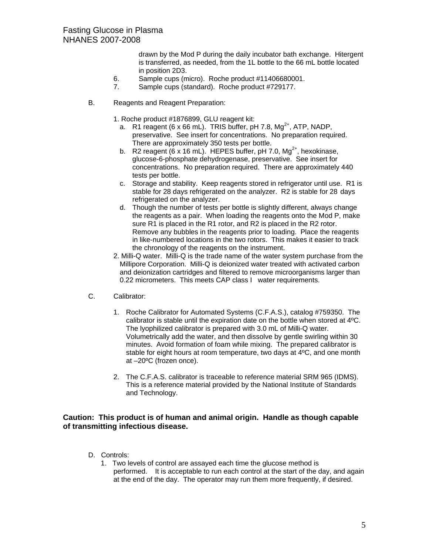drawn by the Mod P during the daily incubator bath exchange. Hitergent is transferred, as needed, from the 1L bottle to the 66 mL bottle located in position 2D3.

- 6. Sample cups (micro). Roche product #11406680001.
- 7. Sample cups (standard). Roche product #729177.
- B. Reagents and Reagent Preparation:
	- 1. Roche product #1876899, GLU reagent kit:
		- a. R1 reagent (6 x 66 mL). TRIS buffer, pH 7.8,  $Mg^{2+}$ , ATP, NADP, preservative. See insert for concentrations. No preparation required. There are approximately 350 tests per bottle.
		- b. R2 reagent  $(6 \times 16 \text{ mL})$ . HEPES buffer, pH 7.0, Mg<sup>2+</sup>, hexokinase, glucose-6-phosphate dehydrogenase, preservative. See insert for concentrations. No preparation required. There are approximately 440 tests per bottle.
		- c. Storage and stability. Keep reagents stored in refrigerator until use. R1 is stable for 28 days refrigerated on the analyzer. R2 is stable for 28 days refrigerated on the analyzer.
		- d. Though the number of tests per bottle is slightly different, always change the reagents as a pair. When loading the reagents onto the Mod P, make sure R1 is placed in the R1 rotor, and R2 is placed in the R2 rotor. Remove any bubbles in the reagents prior to loading. Place the reagents in like-numbered locations in the two rotors. This makes it easier to track the chronology of the reagents on the instrument.
	- 2. Milli-Q water. Milli-Q is the trade name of the water system purchase from the Millipore Corporation. Milli-Q is deionized water treated with activated carbon and deionization cartridges and filtered to remove microorganisms larger than 0.22 micrometers. This meets CAP class I water requirements.
- C. Calibrator:
	- 1. Roche Calibrator for Automated Systems (C.F.A.S.), catalog #759350. The calibrator is stable until the expiration date on the bottle when stored at 4ºC. The lyophilized calibrator is prepared with 3.0 mL of Milli-Q water. Volumetrically add the water, and then dissolve by gentle swirling within 30 minutes. Avoid formation of foam while mixing. The prepared calibrator is stable for eight hours at room temperature, two days at 4ºC, and one month at –20ºC (frozen once).
	- 2. The C.F.A.S. calibrator is traceable to reference material SRM 965 (IDMS). This is a reference material provided by the National Institute of Standards and Technology.

#### **Caution: This product is of human and animal origin. Handle as though capable of transmitting infectious disease.**

- D. Controls:
	- 1. Two levels of control are assayed each time the glucose method is performed. It is acceptable to run each control at the start of the day, and again at the end of the day. The operator may run them more frequently, if desired.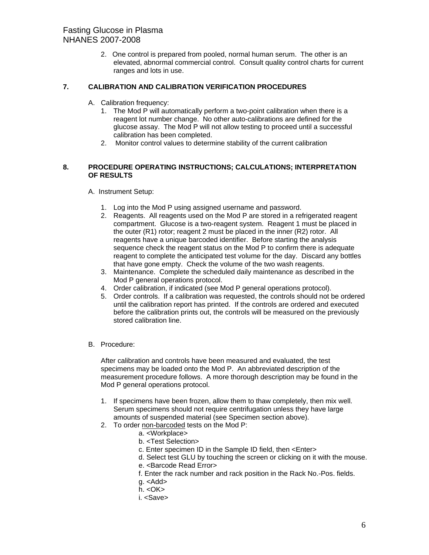2. One control is prepared from pooled, normal human serum. The other is an elevated, abnormal commercial control. Consult quality control charts for current ranges and lots in use.

#### **7. CALIBRATION AND CALIBRATION VERIFICATION PROCEDURES**

- A. Calibration frequency:
	- 1. The Mod P will automatically perform a two-point calibration when there is a reagent lot number change. No other auto-calibrations are defined for the glucose assay. The Mod P will not allow testing to proceed until a successful calibration has been completed.
	- 2. Monitor control values to determine stability of the current calibration

#### **8. PROCEDURE OPERATING INSTRUCTIONS; CALCULATIONS; INTERPRETATION OF RESULTS**

- A. Instrument Setup:
	- 1. Log into the Mod P using assigned username and password.
	- 2. Reagents. All reagents used on the Mod P are stored in a refrigerated reagent compartment. Glucose is a two-reagent system. Reagent 1 must be placed in the outer (R1) rotor; reagent 2 must be placed in the inner (R2) rotor. All reagents have a unique barcoded identifier. Before starting the analysis sequence check the reagent status on the Mod P to confirm there is adequate reagent to complete the anticipated test volume for the day. Discard any bottles that have gone empty. Check the volume of the two wash reagents.
	- 3. Maintenance. Complete the scheduled daily maintenance as described in the Mod P general operations protocol.
	- 4. Order calibration, if indicated (see Mod P general operations protocol).
	- 5. Order controls. If a calibration was requested, the controls should not be ordered until the calibration report has printed. If the controls are ordered and executed before the calibration prints out, the controls will be measured on the previously stored calibration line.
- B. Procedure:

After calibration and controls have been measured and evaluated, the test specimens may be loaded onto the Mod P. An abbreviated description of the measurement procedure follows. A more thorough description may be found in the Mod P general operations protocol.

- 1. If specimens have been frozen, allow them to thaw completely, then mix well. Serum specimens should not require centrifugation unless they have large amounts of suspended material (see Specimen section above).
- 2. To order non-barcoded tests on the Mod P:
	- a. <Workplace>
	- b. <Test Selection>
	- c. Enter specimen ID in the Sample ID field, then <Enter>
	- d. Select test GLU by touching the screen or clicking on it with the mouse.
	- e. <Barcode Read Error>
	- f. Enter the rack number and rack position in the Rack No.-Pos. fields.
	- g. <Add>
	- $h. < OK$
	- i. <Save>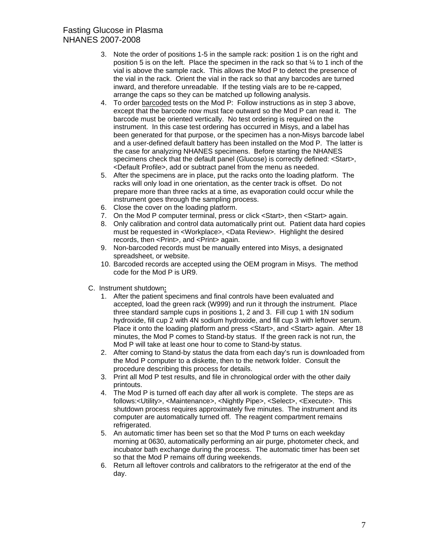- 3. Note the order of positions 1-5 in the sample rack: position 1 is on the right and position 5 is on the left. Place the specimen in the rack so that ¼ to 1 inch of the vial is above the sample rack. This allows the Mod P to detect the presence of the vial in the rack. Orient the vial in the rack so that any barcodes are turned inward, and therefore unreadable. If the testing vials are to be re-capped, arrange the caps so they can be matched up following analysis.
- 4. To order barcoded tests on the Mod P: Follow instructions as in step 3 above, except that the barcode now must face outward so the Mod P can read it. The barcode must be oriented vertically. No test ordering is required on the instrument. In this case test ordering has occurred in Misys, and a label has been generated for that purpose, or the specimen has a non-Misys barcode label and a user-defined default battery has been installed on the Mod P. The latter is the case for analyzing NHANES specimens. Before starting the NHANES specimens check that the default panel (Glucose) is correctly defined: <Start>, <Default Profile>, add or subtract panel from the menu as needed.
- 5. After the specimens are in place, put the racks onto the loading platform. The racks will only load in one orientation, as the center track is offset. Do not prepare more than three racks at a time, as evaporation could occur while the instrument goes through the sampling process.
- 6. Close the cover on the loading platform.
- 7. On the Mod P computer terminal, press or click <Start>, then <Start> again.
- 8. Only calibration and control data automatically print out. Patient data hard copies must be requested in <Workplace>, <Data Review>. Highlight the desired records, then <Print>, and <Print> again.
- 9. Non-barcoded records must be manually entered into Misys, a designated spreadsheet, or website.
- 10. Barcoded records are accepted using the OEM program in Misys. The method code for the Mod P is UR9.
- C. Instrument shutdown**:**
	- 1. After the patient specimens and final controls have been evaluated and accepted, load the green rack (W999) and run it through the instrument. Place three standard sample cups in positions 1, 2 and 3. Fill cup 1 with 1N sodium hydroxide, fill cup 2 with 4N sodium hydroxide, and fill cup 3 with leftover serum. Place it onto the loading platform and press <Start>, and <Start> again. After 18 minutes, the Mod P comes to Stand-by status. If the green rack is not run, the Mod P will take at least one hour to come to Stand-by status.
	- 2. After coming to Stand-by status the data from each day's run is downloaded from the Mod P computer to a diskette, then to the network folder. Consult the procedure describing this process for details.
	- 3. Print all Mod P test results, and file in chronological order with the other daily printouts.
	- 4. The Mod P is turned off each day after all work is complete. The steps are as follows:<Utility>, <Maintenance>, <Nightly Pipe>, <Select>, <Execute>. This shutdown process requires approximately five minutes. The instrument and its computer are automatically turned off. The reagent compartment remains refrigerated.
	- 5. An automatic timer has been set so that the Mod P turns on each weekday morning at 0630, automatically performing an air purge, photometer check, and incubator bath exchange during the process. The automatic timer has been set so that the Mod P remains off during weekends.
	- 6. Return all leftover controls and calibrators to the refrigerator at the end of the day.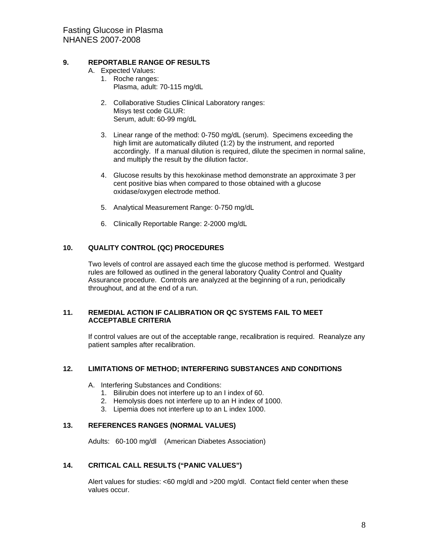#### **9. REPORTABLE RANGE OF RESULTS**

- A. Expected Values:
	- 1. Roche ranges: Plasma, adult: 70-115 mg/dL
	- 2. Collaborative Studies Clinical Laboratory ranges: Misys test code GLUR: Serum, adult: 60-99 mg/dL
	- 3. Linear range of the method: 0-750 mg/dL (serum). Specimens exceeding the high limit are automatically diluted (1:2) by the instrument, and reported accordingly. If a manual dilution is required, dilute the specimen in normal saline, and multiply the result by the dilution factor.
	- 4. Glucose results by this hexokinase method demonstrate an approximate 3 per cent positive bias when compared to those obtained with a glucose oxidase/oxygen electrode method.
	- 5. Analytical Measurement Range: 0-750 mg/dL
	- 6. Clinically Reportable Range: 2-2000 mg/dL

#### **10. QUALITY CONTROL (QC) PROCEDURES**

Two levels of control are assayed each time the glucose method is performed. Westgard rules are followed as outlined in the general laboratory Quality Control and Quality Assurance procedure. Controls are analyzed at the beginning of a run, periodically throughout, and at the end of a run.

#### **11. REMEDIAL ACTION IF CALIBRATION OR QC SYSTEMS FAIL TO MEET ACCEPTABLE CRITERIA**

If control values are out of the acceptable range, recalibration is required. Reanalyze any patient samples after recalibration.

#### **12. LIMITATIONS OF METHOD; INTERFERING SUBSTANCES AND CONDITIONS**

- A. Interfering Substances and Conditions:
	- 1. Bilirubin does not interfere up to an I index of 60.
	- 2. Hemolysis does not interfere up to an H index of 1000.
	- 3. Lipemia does not interfere up to an L index 1000.

#### **13. REFERENCES RANGES (NORMAL VALUES)**

Adults: 60-100 mg/dl (American Diabetes Association)

#### **14. CRITICAL CALL RESULTS ("PANIC VALUES")**

Alert values for studies: <60 mg/dl and >200 mg/dl. Contact field center when these values occur.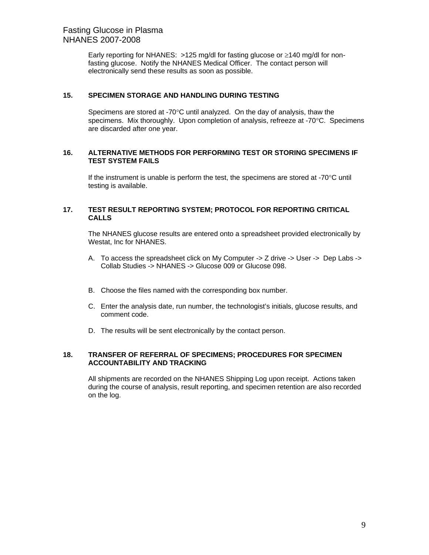Early reporting for NHANES:  $>125$  mg/dl for fasting glucose or  $\geq 140$  mg/dl for nonfasting glucose. Notify the NHANES Medical Officer. The contact person will electronically send these results as soon as possible.

#### **15. SPECIMEN STORAGE AND HANDLING DURING TESTING**

Specimens are stored at -70°C until analyzed. On the day of analysis, thaw the specimens. Mix thoroughly. Upon completion of analysis, refreeze at  $-70^{\circ}$ C. Specimens are discarded after one year.

#### **16. ALTERNATIVE METHODS FOR PERFORMING TEST OR STORING SPECIMENS IF TEST SYSTEM FAILS**

If the instrument is unable is perform the test, the specimens are stored at -70 $\degree$ C until testing is available.

#### **17. TEST RESULT REPORTING SYSTEM; PROTOCOL FOR REPORTING CRITICAL CALLS**

The NHANES glucose results are entered onto a spreadsheet provided electronically by Westat, Inc for NHANES.

- A. To access the spreadsheet click on My Computer -> Z drive -> User -> Dep Labs -> Collab Studies -> NHANES -> Glucose 009 or Glucose 098.
- B. Choose the files named with the corresponding box number.
- C. Enter the analysis date, run number, the technologist's initials, glucose results, and comment code.
- D. The results will be sent electronically by the contact person.

#### **18. TRANSFER OF REFERRAL OF SPECIMENS; PROCEDURES FOR SPECIMEN ACCOUNTABILITY AND TRACKING**

All shipments are recorded on the NHANES Shipping Log upon receipt. Actions taken during the course of analysis, result reporting, and specimen retention are also recorded on the log.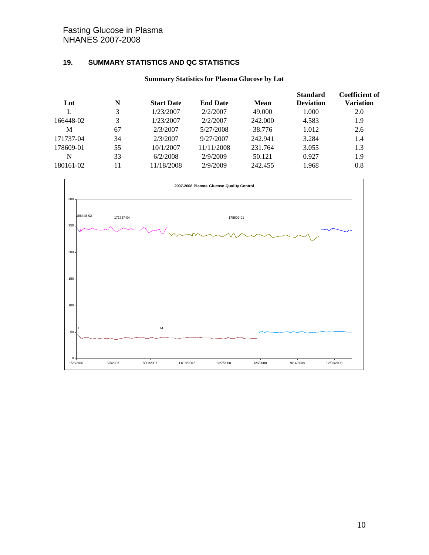## Fasting Glucose in Plasma NHANES 2007-2008

## **19. SUMMARY STATISTICS AND QC STATISTICS**

## **Summary Statistics for Plasma Glucose by Lot**

| Lot       | N  | <b>Start Date</b> | <b>End Date</b> | <b>Mean</b> | <b>Standard</b><br><b>Deviation</b> | <b>Coefficient of</b><br>Variation |
|-----------|----|-------------------|-----------------|-------------|-------------------------------------|------------------------------------|
|           | 3  | 1/23/2007         | 2/2/2007        | 49.000      | 1.000                               | 2.0                                |
| 166448-02 | 3  | 1/23/2007         | 2/2/2007        | 242.000     | 4.583                               | 1.9                                |
| M         | 67 | 2/3/2007          | 5/27/2008       | 38.776      | 1.012                               | 2.6                                |
| 171737-04 | 34 | 2/3/2007          | 9/27/2007       | 242.941     | 3.284                               | 1.4                                |
| 178609-01 | 55 | 10/1/2007         | 11/11/2008      | 231.764     | 3.055                               | 1.3                                |
| N         | 33 | 6/2/2008          | 2/9/2009        | 50.121      | 0.927                               | 1.9                                |
| 180161-02 | 11 | 11/18/2008        | 2/9/2009        | 242.455     | 1.968                               | 0.8                                |